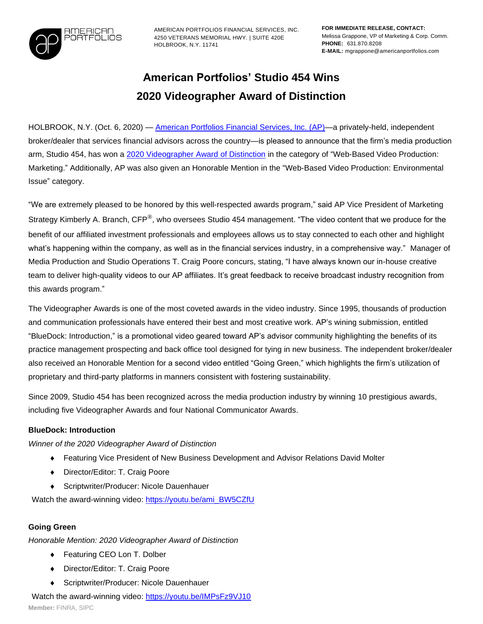

AMERICAN PORTFOLIOS FINANCIAL SERVICES, INC. 4250 VETERANS MEMORIAL HWY. | SUITE 420E HOLBROOK, N.Y. 11741

# **American Portfolios' Studio 454 Wins 2020 Videographer Award of Distinction**

HOLBROOK, N.Y. (Oct. 6, 2020) — [American Portfolios Financial Services, Inc. \(AP\)—](http://www.americanportfolios.com/)a privately-held, independent broker/dealer that services financial advisors across the country—is pleased to announce that the firm's media production arm, Studio 454, has won a 2020 Videographer [Award of Distinction](https://enter.videoawards.com/winners/#/distinction/2020) in the category of "Web-Based Video Production: Marketing." Additionally, AP was also given an Honorable Mention in the "Web-Based Video Production: Environmental Issue" category.

"We are extremely pleased to be honored by this well-respected awards program," said AP Vice President of Marketing Strategy Kimberly A. Branch, CFP®, who oversees Studio 454 management. "The video content that we produce for the benefit of our affiliated investment professionals and employees allows us to stay connected to each other and highlight what's happening within the company, as well as in the financial services industry, in a comprehensive way." Manager of Media Production and Studio Operations T. Craig Poore concurs, stating, "I have always known our in-house creative team to deliver high-quality videos to our AP affiliates. It's great feedback to receive broadcast industry recognition from this awards program."

The Videographer Awards is one of the most coveted awards in the video industry. Since 1995, thousands of production and communication professionals have entered their best and most creative work. AP's wining submission, entitled "BlueDock: Introduction," is a promotional video geared toward AP's advisor community highlighting the benefits of its practice management prospecting and back office tool designed for tying in new business. The independent broker/dealer also received an Honorable Mention for a second video entitled "Going Green," which highlights the firm's utilization of proprietary and third-party platforms in manners consistent with fostering sustainability.

Since 2009, Studio 454 has been recognized across the media production industry by winning 10 prestigious awards, including five Videographer Awards and four National Communicator Awards.

### **BlueDock: Introduction**

*Winner of the 2020 Videographer Award of Distinction*

- Featuring Vice President of New Business Development and Advisor Relations David Molter
- ◆ Director/Editor: T. Craig Poore
- Scriptwriter/Producer: Nicole Dauenhauer

Watch the award-winning video: [https://youtu.be/ami\\_BW5CZfU](https://youtu.be/ami_BW5CZfU)

## **Going Green**

*Honorable Mention: 2020 Videographer Award of Distinction*

- ◆ Featuring CEO Lon T. Dolber
- Director/Editor: T. Craig Poore
- Scriptwriter/Producer: Nicole Dauenhauer

Watch the award-winning video:<https://youtu.be/IMPsFz9VJ10>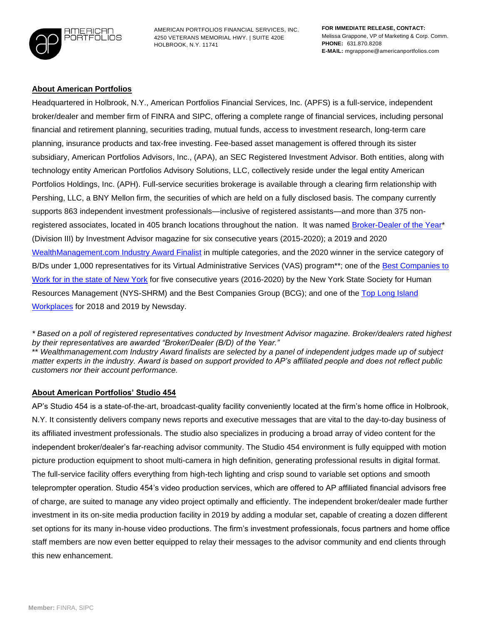

AMERICAN PORTFOLIOS FINANCIAL SERVICES, INC. 4250 VETERANS MEMORIAL HWY. | SUITE 420E HOLBROOK, N.Y. 11741

#### **About American Portfolios**

Headquartered in Holbrook, N.Y., American Portfolios Financial Services, Inc. (APFS) is a full-service, independent broker/dealer and member firm of FINRA and SIPC, offering a complete range of financial services, including personal financial and retirement planning, securities trading, mutual funds, access to investment research, long-term care planning, insurance products and tax-free investing. Fee-based asset management is offered through its sister subsidiary, American Portfolios Advisors, Inc., (APA), an SEC Registered Investment Advisor. Both entities, along with technology entity American Portfolios Advisory Solutions, LLC, collectively reside under the legal entity American Portfolios Holdings, Inc. (APH). Full-service securities brokerage is available through a clearing firm relationship with Pershing, LLC, a BNY Mellon firm, the securities of which are held on a fully disclosed basis. The company currently supports 863 independent investment professionals—inclusive of registered assistants—and more than 375 non-registered associates, located in 405 branch locations throughout the nation. It was named [Broker-Dealer of the Year\\*](https://www.prweb.com/releases/american_portfolios_financial_services_inc_named_2019_broker_dealer_of_the_year_by_investment_advisor_magazine_for_the_fifth_consecutive_year/prweb16533194.htm) (Division III) by Investment Advisor magazine for six consecutive years (2015-2020); a 2019 and 2020 [WealthManagement.com Industry Award Finalist](https://www.prweb.com/releases/american_portfolios_named_wealthmanagement_com_2019_industry_award_finalist_for_enhanced_customer_service_support/prweb16482196.htm) in multiple categories, and the 2020 winner in the service category of B/Ds under 1,000 representatives for its Virtual Administrative Services (VAS) program<sup>\*\*</sup>; one of the Best Companies to [Work for in the state of New York](https://www.prweb.com/releases/american_portfolios_chosen_as_one_of_the_best_companies_to_work_for_in_new_york_state_for_fifth_year_in_a_row/prweb16872514.htm) for five consecutive years (2016-2020) by the New York State Society for Human Resources Management (NYS-SHRM) and the Best Companies Group (BCG); and one of the [Top Long Island](https://www.prweb.com/releases/american_portfolios_financial_services_named_one_of_the_top_long_island_workplaces_for_2018_by_newsday/prweb15881144.htm)  [Workplaces](https://www.prweb.com/releases/american_portfolios_financial_services_named_one_of_the_top_long_island_workplaces_for_2018_by_newsday/prweb15881144.htm) for 2018 and 2019 by Newsday.

*\* Based on a poll of registered representatives conducted by Investment Advisor magazine. Broker/dealers rated highest by their representatives are awarded "Broker/Dealer (B/D) of the Year."*

\*\* *Wealthmanagement.com Industry Award finalists are selected by a panel of independent judges made up of subject matter experts in the industry. Award is based on support provided to AP's affiliated people and does not reflect public customers nor their account performance.*

#### **About American Portfolios' Studio 454**

AP's Studio 454 is a state-of-the-art, broadcast-quality facility conveniently located at the firm's home office in Holbrook, N.Y. It consistently delivers company news reports and executive messages that are vital to the day-to-day business of its affiliated investment professionals. The studio also specializes in producing a broad array of video content for the independent broker/dealer's far-reaching advisor community. The Studio 454 environment is fully equipped with motion picture production equipment to shoot multi-camera in high definition, generating professional results in digital format. The full-service facility offers everything from high-tech lighting and crisp sound to variable set options and smooth teleprompter operation. Studio 454's video production services, which are offered to AP affiliated financial advisors free of charge, are suited to manage any video project optimally and efficiently. The independent broker/dealer made further investment in its on-site media production facility in 2019 by adding a modular set, capable of creating a dozen different set options for its many in-house video productions. The firm's investment professionals, focus partners and home office staff members are now even better equipped to relay their messages to the advisor community and end clients through this new enhancement.